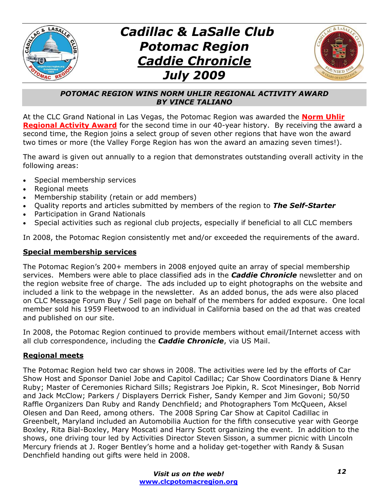



#### *POTOMAC REGION WINS NORM UHLIR REGIONAL ACTIVITY AWARD BY VINCE TALIANO*

At the CLC Grand National in Las Vegas, the Potomac Region was awarded the **Norm Uhlir Regional Activity Award** for the second time in our 40-year history. By receiving the award a second time, the Region joins a select group of seven other regions that have won the award two times or more (the Valley Forge Region has won the award an amazing seven times!).

The award is given out annually to a region that demonstrates outstanding overall activity in the following areas:

- Special membership services
- x Regional meets
- Membership stability (retain or add members)
- x Quality reports and articles submitted by members of the region to *The Self-Starter*
- Participation in Grand Nationals
- Special activities such as regional club projects, especially if beneficial to all CLC members

In 2008, the Potomac Region consistently met and/or exceeded the requirements of the award.

#### **Special membership services**

The Potomac Region's 200+ members in 2008 enjoyed quite an array of special membership services. Members were able to place classified ads in the *Caddie Chronicle* newsletter and on the region website free of charge. The ads included up to eight photographs on the website and included a link to the webpage in the newsletter. As an added bonus, the ads were also placed on CLC Message Forum Buy / Sell page on behalf of the members for added exposure. One local member sold his 1959 Fleetwood to an individual in California based on the ad that was created and published on our site.

In 2008, the Potomac Region continued to provide members without email/Internet access with all club correspondence, including the *Caddie Chronicle*, via US Mail.

### **Regional meets**

The Potomac Region held two car shows in 2008. The activities were led by the efforts of Car Show Host and Sponsor Daniel Jobe and Capitol Cadillac; Car Show Coordinators Diane & Henry Ruby; Master of Ceremonies Richard Sills; Registrars Joe Pipkin, R. Scot Minesinger, Bob Norrid and Jack McClow; Parkers / Displayers Derrick Fisher, Sandy Kemper and Jim Govoni; 50/50 Raffle Organizers Dan Ruby and Randy Denchfield; and Photographers Tom McQueen, Aksel Olesen and Dan Reed, among others. The 2008 Spring Car Show at Capitol Cadillac in Greenbelt, Maryland included an Automobilia Auction for the fifth consecutive year with George Boxley, Rita Bial-Boxley, Mary Moscati and Harry Scott organizing the event. In addition to the shows, one driving tour led by Activities Director Steven Sisson, a summer picnic with Lincoln Mercury friends at J. Roger Bentley's home and a holiday get-together with Randy & Susan Denchfield handing out gifts were held in 2008.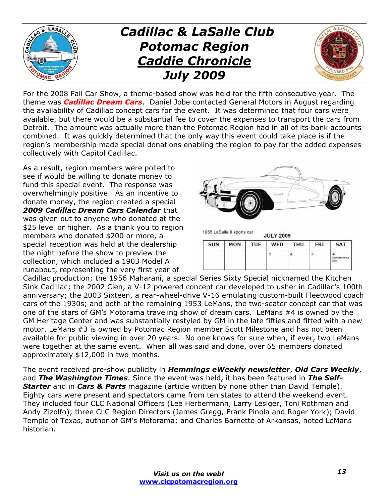

For the 2008 Fall Car Show, a theme-based show was held for the fifth consecutive year. The theme was *Cadillac Dream Cars*. Daniel Jobe contacted General Motors in August regarding the availability of Cadillac concept cars for the event. It was determined that four cars were available, but there would be a substantial fee to cover the expenses to transport the cars from Detroit. The amount was actually more than the Potomac Region had in all of its bank accounts combined. It was quickly determined that the only way this event could take place is if the region's membership made special donations enabling the region to pay for the added expenses collectively with Capitol Cadillac.

As a result, region members were polled to see if would be willing to donate money to fund this special event. The response was overwhelmingly positive. As an incentive to donate money, the region created a special *2009 Cadillac Dream Cars Calendar* that was given out to anyone who donated at the \$25 level or higher. As a thank you to region members who donated \$200 or more, a special reception was held at the dealership the night before the show to preview the collection, which included a 1903 Model A runabout, representing the very first year of



| <b>SUN</b> | <b>MON</b> | <b>TUE</b> | <b>WED</b> | <b>THU</b> | <b>FRI</b> | <b>SAT</b>               |
|------------|------------|------------|------------|------------|------------|--------------------------|
|            |            |            |            |            |            | <b>Maturetistisma or</b> |

Cadillac production; the 1956 Maharani, a special Series Sixty Special nicknamed the Kitchen Sink Cadillac; the 2002 Cien, a V-12 powered concept car developed to usher in Cadillac's 100th anniversary; the 2003 Sixteen, a rear-wheel-drive V-16 emulating custom-built Fleetwood coach cars of the 1930s; and both of the remaining 1953 LeMans, the two-seater concept car that was one of the stars of GM's Motorama traveling show of dream cars. LeMans #4 is owned by the GM Heritage Center and was substantially restyled by GM in the late fifties and fitted with a new motor. LeMans #3 is owned by Potomac Region member Scott Milestone and has not been available for public viewing in over 20 years. No one knows for sure when, if ever, two LeMans were together at the same event. When all was said and done, over 65 members donated approximately \$12,000 in two months.

The event received pre-show publicity in *Hemmings eWeekly newsletter*, *Old Cars Weekly*, and *The Washington Times*. Since the event was held, it has been featured in *The Self-Starter* and in *Cars & Parts* magazine (article written by none other than David Temple). Eighty cars were present and spectators came from ten states to attend the weekend event. They included four CLC National Officers (Lee Herbermann, Larry Lesiger, Toni Rothman and Andy Zizolfo); three CLC Region Directors (James Gregg, Frank Pinola and Roger York); David Temple of Texas, author of GM's Motorama; and Charles Barnette of Arkansas, noted LeMans historian.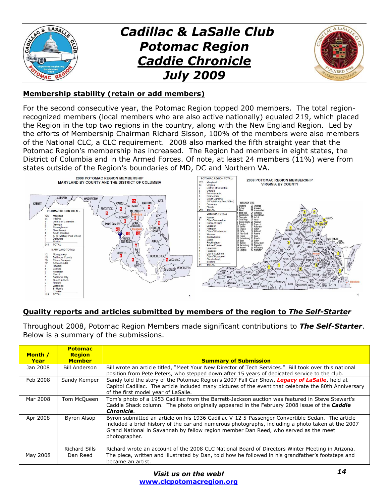

#### **Membership stability (retain or add members)**

For the second consecutive year, the Potomac Region topped 200 members. The total regionrecognized members (local members who are also active nationally) equaled 219, which placed the Region in the top two regions in the country, along with the New England Region. Led by the efforts of Membership Chairman Richard Sisson, 100% of the members were also members of the National CLC, a CLC requirement. 2008 also marked the fifth straight year that the Potomac Region's membership has increased. The Region had members in eight states, the District of Columbia and in the Armed Forces. Of note, at least 24 members (11%) were from states outside of the Region's boundaries of MD, DC and Northern VA.



### **Quality reports and articles submitted by members of the region to** *The Self-Starter*

Throughout 2008, Potomac Region Members made significant contributions to *The Self-Starter*. Below is a summary of the submissions.

| Month /<br>Year | <b>Potomac</b><br><b>Region</b><br><b>Member</b> | <b>Summary of Submission</b>                                                                                                                                                                                                                                                                                 |
|-----------------|--------------------------------------------------|--------------------------------------------------------------------------------------------------------------------------------------------------------------------------------------------------------------------------------------------------------------------------------------------------------------|
| Jan 2008        | <b>Bill Anderson</b>                             | Bill wrote an article titled, "Meet Your New Director of Tech Services." Bill took over this national<br>position from Pete Peters, who stepped down after 15 years of dedicated service to the club.                                                                                                        |
| Feb 2008        | Sandy Kemper                                     | Sandy told the story of the Potomac Region's 2007 Fall Car Show, Legacy of LaSalle, held at<br>Capitol Cadillac. The article included many pictures of the event that celebrate the 80th Anniversary<br>of the first model year of LaSalle.                                                                  |
| Mar 2008        | Tom McQueen                                      | Tom's photo of a 1953 Cadillac from the Barrett-Jackson auction was featured in Steve Stewart's<br>Caddie Shack column. The photo originally appeared in the February 2008 issue of the <b>Caddie</b><br><b>Chronicle.</b>                                                                                   |
| Apr 2008        | Byron Alsop                                      | Byron submitted an article on his 1936 Cadillac V-12 5-Passenger Convertible Sedan. The article<br>included a brief history of the car and numerous photographs, including a photo taken at the 2007<br>Grand National in Savannah by fellow region member Dan Reed, who served as the meet<br>photographer. |
|                 | Richard Sills                                    | Richard wrote an account of the 2008 CLC National Board of Directors Winter Meeting in Arizona.                                                                                                                                                                                                              |
| May 2008        | Dan Reed                                         | The piece, written and illustrated by Dan, told how he followed in his grandfather's footsteps and<br>became an artist.                                                                                                                                                                                      |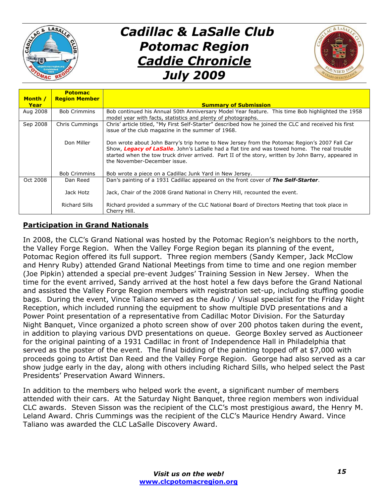



| Month /  | <b>Potomac</b><br><b>Region Member</b> |                                                                                                                                                                                                                                                                                                                                     |
|----------|----------------------------------------|-------------------------------------------------------------------------------------------------------------------------------------------------------------------------------------------------------------------------------------------------------------------------------------------------------------------------------------|
| Year     |                                        | <b>Summary of Submission</b>                                                                                                                                                                                                                                                                                                        |
| Aug 2008 | <b>Bob Crimmins</b>                    | Bob continued his Annual 50th Anniversary Model Year feature. This time Bob highlighted the 1958<br>model year with facts, statistics and plenty of photographs.                                                                                                                                                                    |
| Sep 2008 | Chris Cummings                         | Chris' article titled, "My First Self-Starter" described how he joined the CLC and received his first<br>issue of the club magazine in the summer of 1968.                                                                                                                                                                          |
|          | Don Miller                             | Don wrote about John Barry's trip home to New Jersey from the Potomac Region's 2007 Fall Car<br>Show, Legacy of LaSalle. John's LaSalle had a flat tire and was towed home. The real trouble<br>started when the tow truck driver arrived. Part II of the story, written by John Barry, appeared in<br>the November-December issue. |
|          | <b>Bob Crimmins</b>                    | Bob wrote a piece on a Cadillac Junk Yard in New Jersey.                                                                                                                                                                                                                                                                            |
| Oct 2008 | Dan Reed                               | Dan's painting of a 1931 Cadillac appeared on the front cover of The Self-Starter.                                                                                                                                                                                                                                                  |
|          | Jack Hotz                              | Jack, Chair of the 2008 Grand National in Cherry Hill, recounted the event.                                                                                                                                                                                                                                                         |
|          | <b>Richard Sills</b>                   | Richard provided a summary of the CLC National Board of Directors Meeting that took place in<br>Cherry Hill.                                                                                                                                                                                                                        |

### **Participation in Grand Nationals**

In 2008, the CLC's Grand National was hosted by the Potomac Region's neighbors to the north, the Valley Forge Region. When the Valley Forge Region began its planning of the event, Potomac Region offered its full support. Three region members (Sandy Kemper, Jack McClow and Henry Ruby) attended Grand National Meetings from time to time and one region member (Joe Pipkin) attended a special pre-event Judges' Training Session in New Jersey. When the time for the event arrived, Sandy arrived at the host hotel a few days before the Grand National and assisted the Valley Forge Region members with registration set-up, including stuffing goodie bags. During the event, Vince Taliano served as the Audio / Visual specialist for the Friday Night Reception, which included running the equipment to show multiple DVD presentations and a Power Point presentation of a representative from Cadillac Motor Division. For the Saturday Night Banquet, Vince organized a photo screen show of over 200 photos taken during the event, in addition to playing various DVD presentations on queue. George Boxley served as Auctioneer for the original painting of a 1931 Cadillac in front of Independence Hall in Philadelphia that served as the poster of the event. The final bidding of the painting topped off at \$7,000 with proceeds going to Artist Dan Reed and the Valley Forge Region. George had also served as a car show judge early in the day, along with others including Richard Sills, who helped select the Past Presidents' Preservation Award Winners.

In addition to the members who helped work the event, a significant number of members attended with their cars. At the Saturday Night Banquet, three region members won individual CLC awards. Steven Sisson was the recipient of the CLC's most prestigious award, the Henry M. Leland Award. Chris Cummings was the recipient of the CLC's Maurice Hendry Award. Vince Taliano was awarded the CLC LaSalle Discovery Award.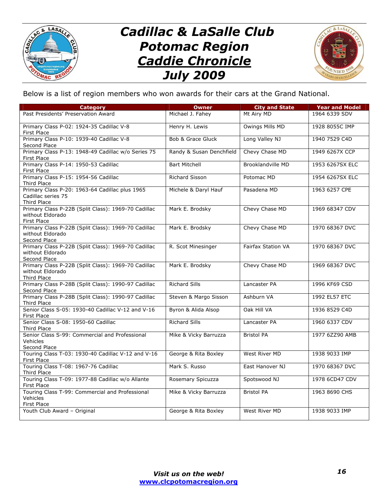



Below is a list of region members who won awards for their cars at the Grand National.

| <b>Category</b>                                                                            | <b>Owner</b>             | <b>City and State</b>     | <b>Year and Model</b> |
|--------------------------------------------------------------------------------------------|--------------------------|---------------------------|-----------------------|
| Past Presidents' Preservation Award                                                        | Michael J. Fahey         | Mt Airy MD                | 1964 6339 SDV         |
| Primary Class P-02: 1924-35 Cadillac V-8<br>First Place                                    | Henry H. Lewis           | Owings Mills MD           | 1928 8055C IMP        |
| Primary Class P-10: 1939-40 Cadillac V-8<br>Second Place                                   | Bob & Grace Gluck        | Long Valley NJ            | 1940 7529 C4D         |
| Primary Class P-13: 1948-49 Cadillac w/o Series 75<br>First Place                          | Randy & Susan Denchfield | Chevy Chase MD            | 1949 6267X CCP        |
| Primary Class P-14: 1950-53 Cadillac<br><b>First Place</b>                                 | <b>Bart Mitchell</b>     | Brooklandville MD         | 1953 6267SX ELC       |
| Primary Class P-15: 1954-56 Cadillac<br>Third Place                                        | <b>Richard Sisson</b>    | Potomac MD                | 1954 6267SX ELC       |
| Primary Class P-20: 1963-64 Cadillac plus 1965<br>Cadillac series 75<br><b>Third Place</b> | Michele & Daryl Hauf     | Pasadena MD               | 1963 6257 CPE         |
| Primary Class P-22B (Split Class): 1969-70 Cadillac<br>without Eldorado<br>First Place     | Mark E. Brodsky          | Chevy Chase MD            | 1969 68347 CDV        |
| Primary Class P-22B (Split Class): 1969-70 Cadillac<br>without Eldorado<br>Second Place    | Mark E. Brodsky          | Chevy Chase MD            | 1970 68367 DVC        |
| Primary Class P-22B (Split Class): 1969-70 Cadillac<br>without Eldorado<br>Second Place    | R. Scot Minesinger       | <b>Fairfax Station VA</b> | 1970 68367 DVC        |
| Primary Class P-22B (Split Class): 1969-70 Cadillac<br>without Eldorado<br>Third Place     | Mark E. Brodsky          | Chevy Chase MD            | 1969 68367 DVC        |
| Primary Class P-28B (Split Class): 1990-97 Cadillac<br>Second Place                        | <b>Richard Sills</b>     | Lancaster PA              | 1996 KF69 CSD         |
| Primary Class P-28B (Split Class): 1990-97 Cadillac<br><b>Third Place</b>                  | Steven & Margo Sisson    | Ashburn VA                | 1992 EL57 ETC         |
| Senior Class S-05: 1930-40 Cadillac V-12 and V-16<br><b>First Place</b>                    | Byron & Alida Alsop      | Oak Hill VA               | 1936 8529 C4D         |
| Senior Class S-08: 1950-60 Cadillac<br>Third Place                                         | <b>Richard Sills</b>     | Lancaster PA              | 1960 6337 CDV         |
| Senior Class S-99: Commercial and Professional<br>Vehicles<br>Second Place                 | Mike & Vicky Barruzza    | <b>Bristol PA</b>         | 1977 6ZZ90 AMB        |
| Touring Class T-03: 1930-40 Cadillac V-12 and V-16<br>First Place                          | George & Rita Boxley     | West River MD             | 1938 9033 IMP         |
| Touring Class T-08: 1967-76 Cadillac<br>Third Place                                        | Mark S. Russo            | East Hanover NJ           | 1970 68367 DVC        |
| Touring Class T-09: 1977-88 Cadillac w/o Allante<br>First Place                            | Rosemary Spicuzza        | Spotswood NJ              | 1978 6CD47 CDV        |
| Touring Class T-99: Commercial and Professional<br>Vehicles<br><b>First Place</b>          | Mike & Vicky Barruzza    | <b>Bristol PA</b>         | 1963 8690 CHS         |
| Youth Club Award - Original                                                                | George & Rita Boxley     | West River MD             | 1938 9033 IMP         |